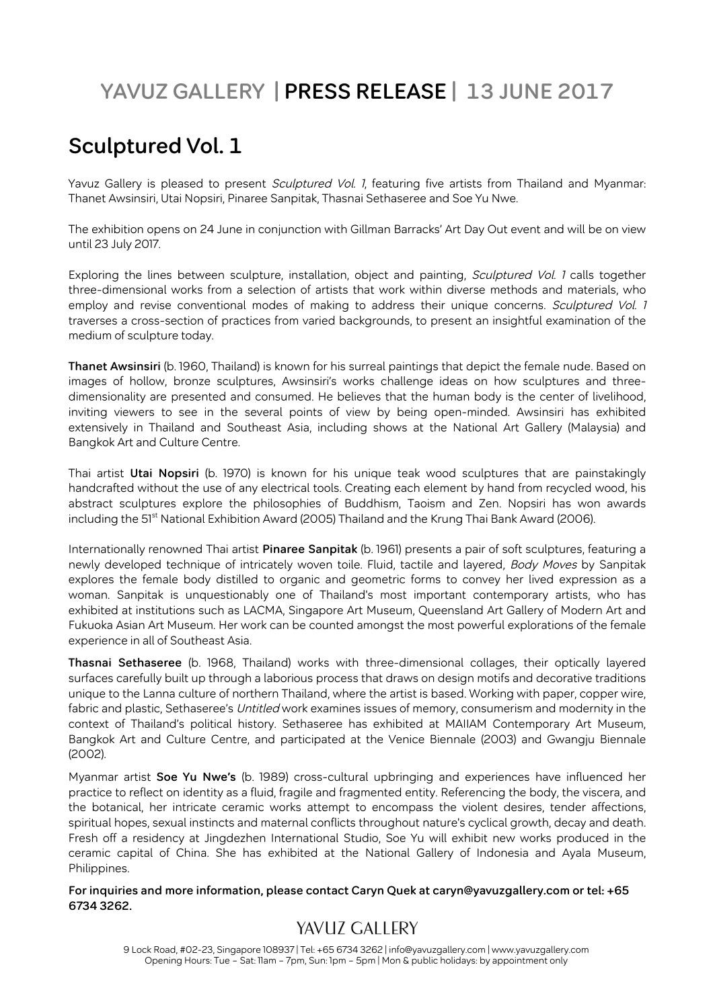# **YAVUZ GALLERY | PRESS RELEASE | 13 JUNE 2017**

## **Sculptured Vol. 1**

Yavuz Gallery is pleased to present Sculptured Vol. 1, featuring five artists from Thailand and Myanmar: Thanet Awsinsiri, Utai Nopsiri, Pinaree Sanpitak, Thasnai Sethaseree and Soe Yu Nwe.

The exhibition opens on 24 June in conjunction with Gillman Barracks' Art Day Out event and will be on view until 23 July 2017.

Exploring the lines between sculpture, installation, object and painting, Sculptured Vol. 1 calls together three-dimensional works from a selection of artists that work within diverse methods and materials, who employ and revise conventional modes of making to address their unique concerns. Sculptured Vol. 1 traverses a cross-section of practices from varied backgrounds, to present an insightful examination of the medium of sculpture today.

**Thanet Awsinsiri** (b. 1960, Thailand) is known for his surreal paintings that depict the female nude. Based on images of hollow, bronze sculptures, Awsinsiri's works challenge ideas on how sculptures and threedimensionality are presented and consumed. He believes that the human body is the center of livelihood, inviting viewers to see in the several points of view by being open-minded. Awsinsiri has exhibited extensively in Thailand and Southeast Asia, including shows at the National Art Gallery (Malaysia) and Bangkok Art and Culture Centre.

Thai artist **Utai Nopsiri** (b. 1970) is known for his unique teak wood sculptures that are painstakingly handcrafted without the use of any electrical tools. Creating each element by hand from recycled wood, his abstract sculptures explore the philosophies of Buddhism, Taoism and Zen. Nopsiri has won awards including the 51<sup>st</sup> National Exhibition Award (2005) Thailand and the Krung Thai Bank Award (2006).

Internationally renowned Thai artist **Pinaree Sanpitak** (b. 1961) presents a pair of soft sculptures, featuring a newly developed technique of intricately woven toile. Fluid, tactile and layered, *Body Moves* by Sanpitak explores the female body distilled to organic and geometric forms to convey her lived expression as a woman. Sanpitak is unquestionably one of Thailand's most important contemporary artists, who has exhibited at institutions such as LACMA, Singapore Art Museum, Queensland Art Gallery of Modern Art and Fukuoka Asian Art Museum. Her work can be counted amongst the most powerful explorations of the female experience in all of Southeast Asia.

**Thasnai Sethaseree** (b. 1968, Thailand) works with three-dimensional collages, their optically layered surfaces carefully built up through a laborious process that draws on design motifs and decorative traditions unique to the Lanna culture of northern Thailand, where the artist is based. Working with paper, copper wire, fabric and plastic, Sethaseree's *Untitled* work examines issues of memory, consumerism and modernity in the context of Thailand's political history. Sethaseree has exhibited at MAIIAM Contemporary Art Museum, Bangkok Art and Culture Centre, and participated at the Venice Biennale (2003) and Gwangju Biennale (2002).

Myanmar artist **Soe Yu Nwe's** (b. 1989) cross-cultural upbringing and experiences have influenced her practice to reflect on identity as a fluid, fragile and fragmented entity. Referencing the body, the viscera, and the botanical, her intricate ceramic works attempt to encompass the violent desires, tender affections, spiritual hopes, sexual instincts and maternal conflicts throughout nature's cyclical growth, decay and death. Fresh off a residency at Jingdezhen International Studio, Soe Yu will exhibit new works produced in the ceramic capital of China. She has exhibited at the National Gallery of Indonesia and Ayala Museum, Philippines.

**For inquiries and more information, please contact Caryn Quek at caryn@yavuzgallery.com or tel: +65 6734 3262.**

## YAVUZ GALLERY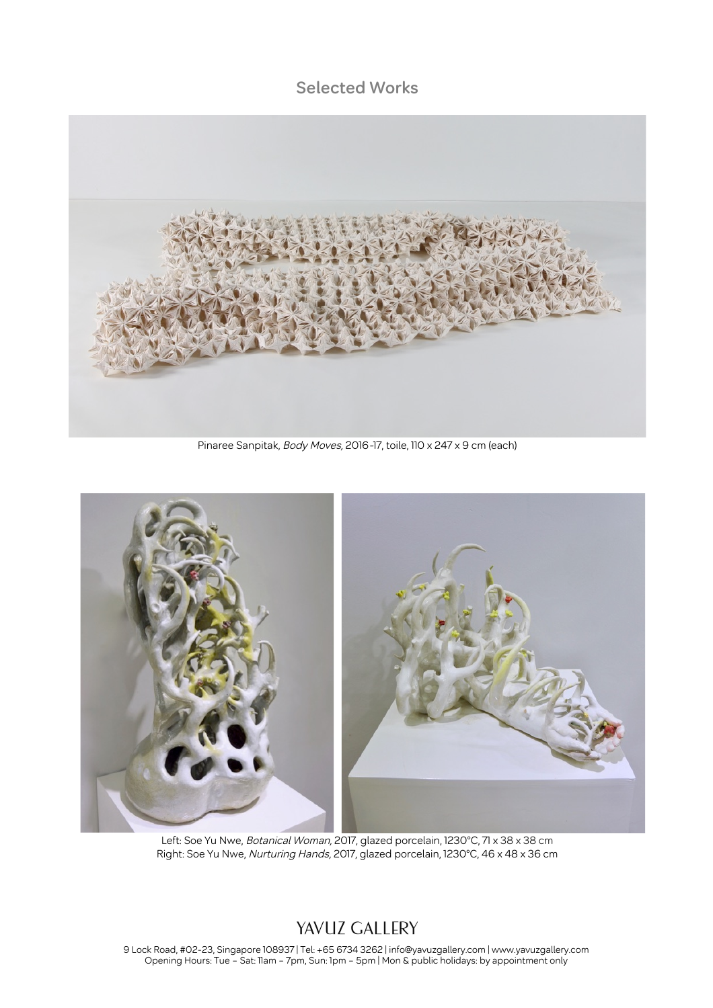#### **Selected Works**



Pinaree Sanpitak, Body Moves, 2016-17, toile, 110 x 247 x 9 cm (each)



Left: Soe Yu Nwe, *Botanical Woman,* 2017, glazed porcelain, 1230°C, 71 x 38 x 38 cm Right: Soe Yu Nwe, *Nurturing Hands,* 2017, glazed porcelain, 1230°C, 46 x 48 x 36 cm

#### YAVUZ GALLERY

9 Lock Road, #02-23, Singapore 108937 | Tel: +65 6734 3262 | info@yavuzgallery.com | www.yavuzgallery.com Opening Hours: Tue – Sat: 11am – 7pm, Sun: 1pm – 5pm | Mon & public holidays: by appointment only